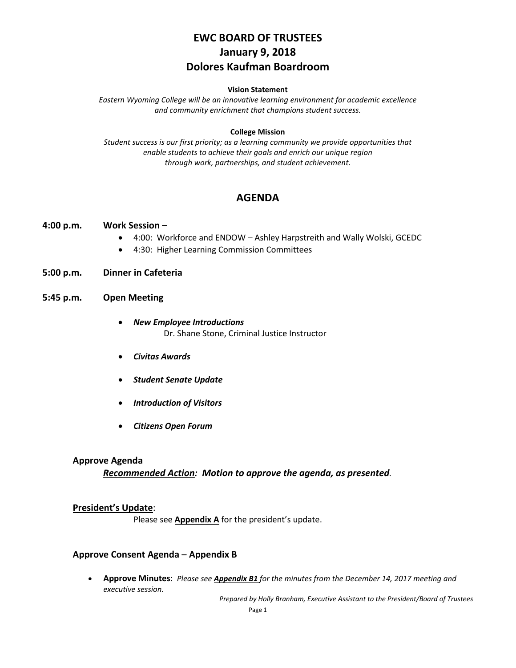# **EWC BOARD OF TRUSTEES January 9, 2018 Dolores Kaufman Boardroom**

#### **Vision Statement**

*Eastern Wyoming College will be an innovative learning environment for academic excellence and community enrichment that champions student success.*

#### **College Mission**

*Student success is our first priority; as a learning community we provide opportunities that enable students to achieve their goals and enrich our unique region through work, partnerships, and student achievement.*

## **AGENDA**

#### **4:00 p.m. Work Session –**

- 4:00: Workforce and ENDOW Ashley Harpstreith and Wally Wolski, GCEDC
- 4:30: Higher Learning Commission Committees
- **5:00 p.m. Dinner in Cafeteria**

### **5:45 p.m. Open Meeting**

- *New Employee Introductions* Dr. Shane Stone, Criminal Justice Instructor
- *Civitas Awards*
- *Student Senate Update*
- *Introduction of Visitors*
- *Citizens Open Forum*

#### **Approve Agenda**

### *Recommended Action: Motion to approve the agenda, as presented.*

### **President's Update**:

Please see **Appendix A** for the president's update.

### **Approve Consent Agenda** – **Appendix B**

• **Approve Minutes**: *Please see Appendix B1 for the minutes from the December 14, 2017 meeting and executive session.*

*Prepared by Holly Branham, Executive Assistant to the President/Board of Trustees*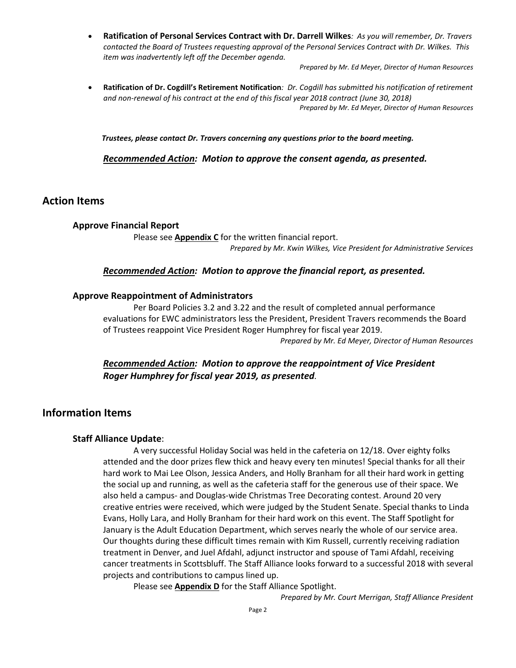• **Ratification of Personal Services Contract with Dr. Darrell Wilkes***: As you will remember, Dr. Travers contacted the Board of Trustees requesting approval of the Personal Services Contract with Dr. Wilkes. This item was inadvertently left off the December agenda.*

*Prepared by Mr. Ed Meyer, Director of Human Resources*

• **Ratification of Dr. Cogdill's Retirement Notification***: Dr. Cogdill has submitted his notification of retirement and non-renewal of his contract at the end of this fiscal year 2018 contract (June 30, 2018) Prepared by Mr. Ed Meyer, Director of Human Resources*

*Trustees, please contact Dr. Travers concerning any questions prior to the board meeting.*

*Recommended Action: Motion to approve the consent agenda, as presented.*

### **Action Items**

#### **Approve Financial Report**

Please see **Appendix C** for the written financial report. *Prepared by Mr. Kwin Wilkes, Vice President for Administrative Services*

#### *Recommended Action: Motion to approve the financial report, as presented.*

#### **Approve Reappointment of Administrators**

Per Board Policies 3.2 and 3.22 and the result of completed annual performance evaluations for EWC administrators less the President, President Travers recommends the Board of Trustees reappoint Vice President Roger Humphrey for fiscal year 2019. *Prepared by Mr. Ed Meyer, Director of Human Resources*

*Recommended Action: Motion to approve the reappointment of Vice President Roger Humphrey for fiscal year 2019, as presented.*

## **Information Items**

#### **Staff Alliance Update**:

A very successful Holiday Social was held in the cafeteria on 12/18. Over eighty folks attended and the door prizes flew thick and heavy every ten minutes! Special thanks for all their hard work to Mai Lee Olson, Jessica Anders, and Holly Branham for all their hard work in getting the social up and running, as well as the cafeteria staff for the generous use of their space. We also held a campus- and Douglas-wide Christmas Tree Decorating contest. Around 20 very creative entries were received, which were judged by the Student Senate. Special thanks to Linda Evans, Holly Lara, and Holly Branham for their hard work on this event. The Staff Spotlight for January is the Adult Education Department, which serves nearly the whole of our service area. Our thoughts during these difficult times remain with Kim Russell, currently receiving radiation treatment in Denver, and Juel Afdahl, adjunct instructor and spouse of Tami Afdahl, receiving cancer treatments in Scottsbluff. The Staff Alliance looks forward to a successful 2018 with several projects and contributions to campus lined up.

Please see **Appendix D** for the Staff Alliance Spotlight.

*Prepared by Mr. Court Merrigan, Staff Alliance President*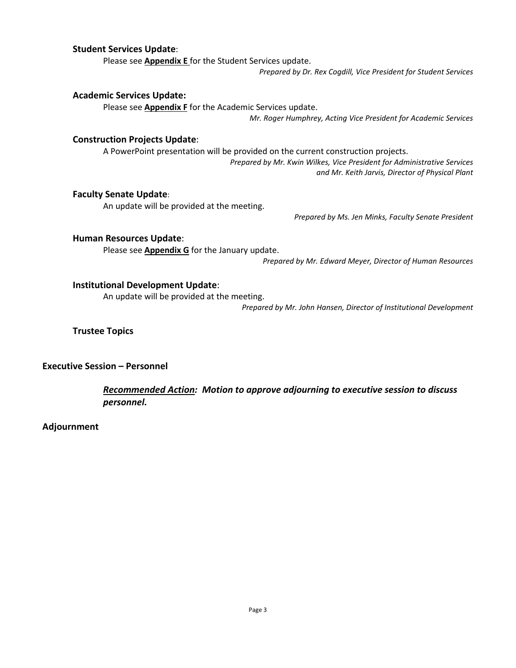### **Student Services Update**:

Please see **Appendix E** for the Student Services update. *Prepared by Dr. Rex Cogdill, Vice President for Student Services*

#### **Academic Services Update:**

Please see **Appendix F** for the Academic Services update.

*Mr. Roger Humphrey, Acting Vice President for Academic Services*

#### **Construction Projects Update**:

A PowerPoint presentation will be provided on the current construction projects.

*Prepared by Mr. Kwin Wilkes, Vice President for Administrative Services and Mr. Keith Jarvis, Director of Physical Plant*

#### **Faculty Senate Update**:

An update will be provided at the meeting.

*Prepared by Ms. Jen Minks, Faculty Senate President*

#### **Human Resources Update**:

Please see **Appendix G** for the January update.

*Prepared by Mr. Edward Meyer, Director of Human Resources*

### **Institutional Development Update**:

An update will be provided at the meeting.

*Prepared by Mr. John Hansen, Director of Institutional Development*

**Trustee Topics**

**Executive Session – Personnel**

*Recommended Action: Motion to approve adjourning to executive session to discuss personnel.*

**Adjournment**